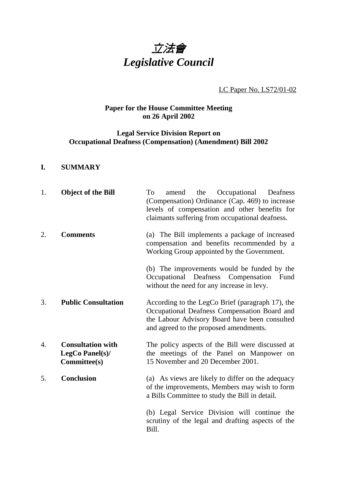

LC Paper No. LS72/01-02

# **Paper for the House Committee Meeting on 26 April 2002**

# **Legal Service Division Report on Occupational Deafness (Compensation) (Amendment) Bill 2002**

#### **I. SUMMARY**

| 1. | <b>Object of the Bill</b>                                   | amend the Occupational Deafness<br>To<br>(Compensation) Ordinance (Cap. 469) to increase<br>levels of compensation and other benefits for<br>claimants suffering from occupational deafness. |
|----|-------------------------------------------------------------|----------------------------------------------------------------------------------------------------------------------------------------------------------------------------------------------|
| 2. | <b>Comments</b>                                             | (a) The Bill implements a package of increased<br>compensation and benefits recommended by a<br>Working Group appointed by the Government.                                                   |
|    |                                                             | (b) The improvements would be funded by the<br>Occupational Deafness Compensation<br>Fund<br>without the need for any increase in levy.                                                      |
| 3. | <b>Public Consultation</b>                                  | According to the LegCo Brief (paragraph 17), the<br>Occupational Deafness Compensation Board and<br>the Labour Advisory Board have been consulted<br>and agreed to the proposed amendments.  |
| 4. | <b>Consultation with</b><br>LegCo Panel(s)/<br>Committee(s) | The policy aspects of the Bill were discussed at<br>the meetings of the Panel on Manpower on<br>15 November and 20 December 2001.                                                            |
| 5. | <b>Conclusion</b>                                           | (a) As views are likely to differ on the adequacy<br>of the improvements, Members may wish to form<br>a Bills Committee to study the Bill in detail.                                         |
|    |                                                             | (b) Legal Service Division will continue the<br>scrutiny of the legal and drafting aspects of the<br>Bill.                                                                                   |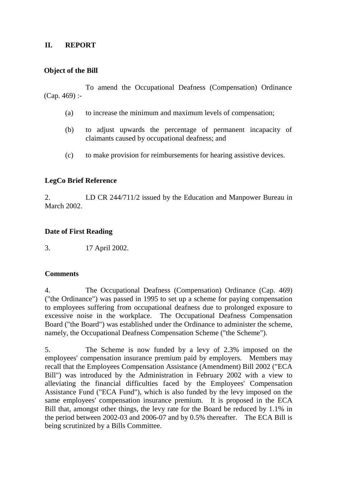#### **II. REPORT**

### **Object of the Bill**

To amend the Occupational Deafness (Compensation) Ordinance (Cap. 469) :-

- (a) to increase the minimum and maximum levels of compensation;
- (b) to adjust upwards the percentage of permanent incapacity of claimants caused by occupational deafness; and
- (c) to make provision for reimbursements for hearing assistive devices.

## **LegCo Brief Reference**

2. LD CR 244/711/2 issued by the Education and Manpower Bureau in March 2002.

## **Date of First Reading**

3. 17 April 2002.

#### **Comments**

4. The Occupational Deafness (Compensation) Ordinance (Cap. 469) ("the Ordinance") was passed in 1995 to set up a scheme for paying compensation to employees suffering from occupational deafness due to prolonged exposure to excessive noise in the workplace. The Occupational Deafness Compensation Board ("the Board") was established under the Ordinance to administer the scheme, namely, the Occupational Deafness Compensation Scheme ("the Scheme").

5. The Scheme is now funded by a levy of 2.3% imposed on the employees' compensation insurance premium paid by employers. Members may recall that the Employees Compensation Assistance (Amendment) Bill 2002 ("ECA Bill") was introduced by the Administration in February 2002 with a view to alleviating the financial difficulties faced by the Employees' Compensation Assistance Fund ("ECA Fund"), which is also funded by the levy imposed on the same employees' compensation insurance premium. It is proposed in the ECA Bill that, amongst other things, the levy rate for the Board be reduced by 1.1% in the period between 2002-03 and 2006-07 and by 0.5% thereafter. The ECA Bill is being scrutinized by a Bills Committee.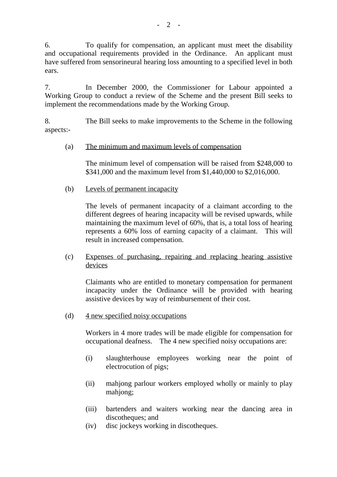6. To qualify for compensation, an applicant must meet the disability and occupational requirements provided in the Ordinance. An applicant must have suffered from sensorineural hearing loss amounting to a specified level in both ears.

7. In December 2000, the Commissioner for Labour appointed a Working Group to conduct a review of the Scheme and the present Bill seeks to implement the recommendations made by the Working Group.

8. The Bill seeks to make improvements to the Scheme in the following aspects:-

#### (a) The minimum and maximum levels of compensation

The minimum level of compensation will be raised from \$248,000 to \$341,000 and the maximum level from \$1,440,000 to \$2,016,000.

(b) Levels of permanent incapacity

The levels of permanent incapacity of a claimant according to the different degrees of hearing incapacity will be revised upwards, while maintaining the maximum level of 60%, that is, a total loss of hearing represents a 60% loss of earning capacity of a claimant. This will result in increased compensation.

(c) Expenses of purchasing, repairing and replacing hearing assistive devices

Claimants who are entitled to monetary compensation for permanent incapacity under the Ordinance will be provided with hearing assistive devices by way of reimbursement of their cost.

(d) 4 new specified noisy occupations

Workers in 4 more trades will be made eligible for compensation for occupational deafness. The 4 new specified noisy occupations are:

- (i) slaughterhouse employees working near the point of electrocution of pigs;
- (ii) mahjong parlour workers employed wholly or mainly to play mahjong;
- (iii) bartenders and waiters working near the dancing area in discotheques; and
- (iv) disc jockeys working in discotheques.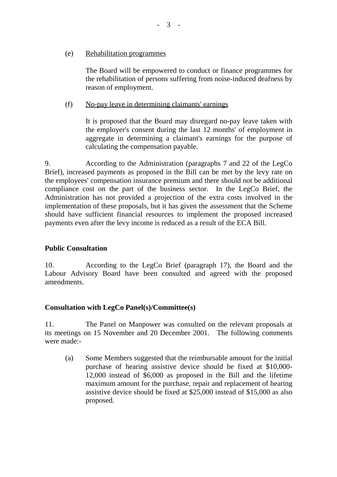#### (e) Rehabilitation programmes

The Board will be empowered to conduct or finance programmes for the rehabilitation of persons suffering from noise-induced deafness by reason of employment.

#### (f) No-pay leave in determining claimants' earnings

It is proposed that the Board may disregard no-pay leave taken with the employer's consent during the last 12 months' of employment in aggregate in determining a claimant's earnings for the purpose of calculating the compensation payable.

9. According to the Administration (paragraphs 7 and 22 of the LegCo Brief), increased payments as proposed in the Bill can be met by the levy rate on the employees' compensation insurance premium and there should not be additional compliance cost on the part of the business sector. In the LegCo Brief, the Administration has not provided a projection of the extra costs involved in the implementation of these proposals, but it has given the assessment that the Scheme should have sufficient financial resources to implement the proposed increased payments even after the levy income is reduced as a result of the ECA Bill.

#### **Public Consultation**

10. According to the LegCo Brief (paragraph 17), the Board and the Labour Advisory Board have been consulted and agreed with the proposed amendments.

#### **Consultation with LegCo Panel(s)/Committee(s)**

11. The Panel on Manpower was consulted on the relevant proposals at its meetings on 15 November and 20 December 2001. The following comments were made:-

(a) Some Members suggested that the reimbursable amount for the initial purchase of hearing assistive device should be fixed at \$10,000- 12,000 instead of \$6,000 as proposed in the Bill and the lifetime maximum amount for the purchase, repair and replacement of hearing assistive device should be fixed at \$25,000 instead of \$15,000 as also proposed.